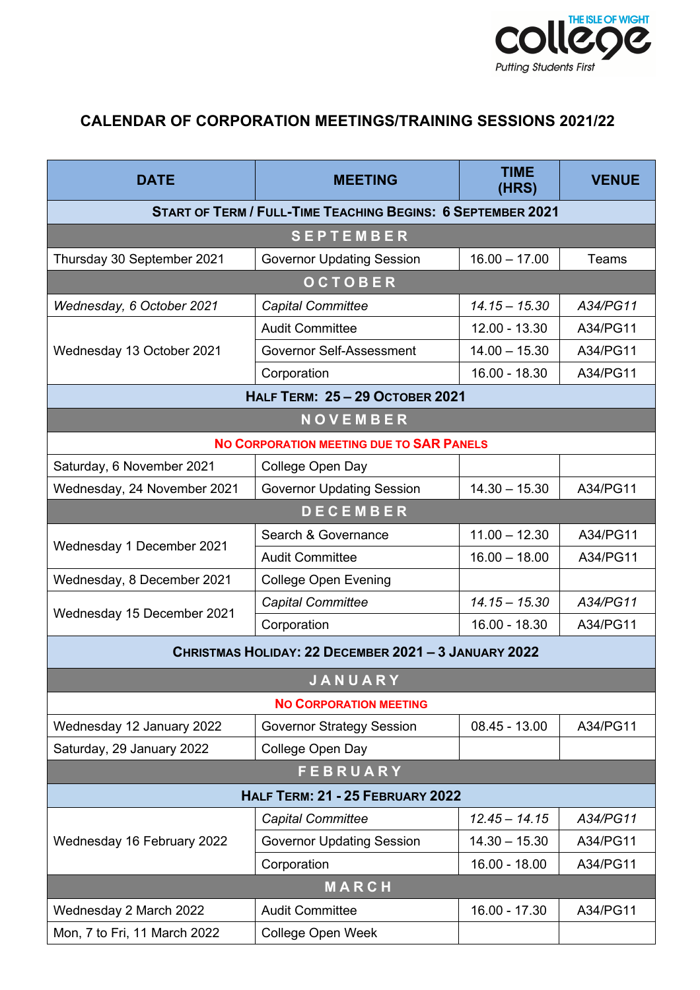

## **CALENDAR OF CORPORATION MEETINGS/TRAINING SESSIONS 2021/22**

| <b>DATE</b>                                                        | <b>MEETING</b>                   | <b>TIME</b><br>(HRS) | <b>VENUE</b> |  |
|--------------------------------------------------------------------|----------------------------------|----------------------|--------------|--|
| <b>START OF TERM / FULL-TIME TEACHING BEGINS: 6 SEPTEMBER 2021</b> |                                  |                      |              |  |
| <b>SEPTEMBER</b>                                                   |                                  |                      |              |  |
| Thursday 30 September 2021                                         | <b>Governor Updating Session</b> | $16.00 - 17.00$      | Teams        |  |
| <b>OCTOBER</b>                                                     |                                  |                      |              |  |
| Wednesday, 6 October 2021                                          | <b>Capital Committee</b>         | $14.15 - 15.30$      | A34/PG11     |  |
| Wednesday 13 October 2021                                          | <b>Audit Committee</b>           | 12.00 - 13.30        | A34/PG11     |  |
|                                                                    | Governor Self-Assessment         | $14.00 - 15.30$      | A34/PG11     |  |
|                                                                    | Corporation                      | 16.00 - 18.30        | A34/PG11     |  |
| <b>HALF TERM: 25-29 OCTOBER 2021</b>                               |                                  |                      |              |  |
| NOVEMBER                                                           |                                  |                      |              |  |
| NO CORPORATION MEETING DUE TO SAR PANELS                           |                                  |                      |              |  |
| Saturday, 6 November 2021                                          | College Open Day                 |                      |              |  |
| Wednesday, 24 November 2021                                        | <b>Governor Updating Session</b> | $14.30 - 15.30$      | A34/PG11     |  |
| <b>DECEMBER</b>                                                    |                                  |                      |              |  |
| Wednesday 1 December 2021                                          | Search & Governance              | $11.00 - 12.30$      | A34/PG11     |  |
|                                                                    | <b>Audit Committee</b>           | $16.00 - 18.00$      | A34/PG11     |  |
| Wednesday, 8 December 2021                                         | <b>College Open Evening</b>      |                      |              |  |
| Wednesday 15 December 2021                                         | <b>Capital Committee</b>         | $14.15 - 15.30$      | A34/PG11     |  |
|                                                                    | Corporation                      | $16.00 - 18.30$      | A34/PG11     |  |
| CHRISTMAS HOLIDAY: 22 DECEMBER 2021 - 3 JANUARY 2022               |                                  |                      |              |  |
|                                                                    | <b>JANUARY</b>                   |                      |              |  |
| <b>NO CORPORATION MEETING</b>                                      |                                  |                      |              |  |
| Wednesday 12 January 2022                                          | <b>Governor Strategy Session</b> | $08.45 - 13.00$      | A34/PG11     |  |
| Saturday, 29 January 2022                                          | College Open Day                 |                      |              |  |
| <b>FEBRUARY</b>                                                    |                                  |                      |              |  |
| HALF TERM: 21 - 25 FEBRUARY 2022                                   |                                  |                      |              |  |
| Wednesday 16 February 2022                                         | Capital Committee                | $12.45 - 14.15$      | A34/PG11     |  |
|                                                                    | <b>Governor Updating Session</b> | $14.30 - 15.30$      | A34/PG11     |  |
|                                                                    | Corporation                      | $16.00 - 18.00$      | A34/PG11     |  |
| MARCH                                                              |                                  |                      |              |  |
| Wednesday 2 March 2022                                             | <b>Audit Committee</b>           | $16.00 - 17.30$      | A34/PG11     |  |
| Mon, 7 to Fri, 11 March 2022                                       | <b>College Open Week</b>         |                      |              |  |